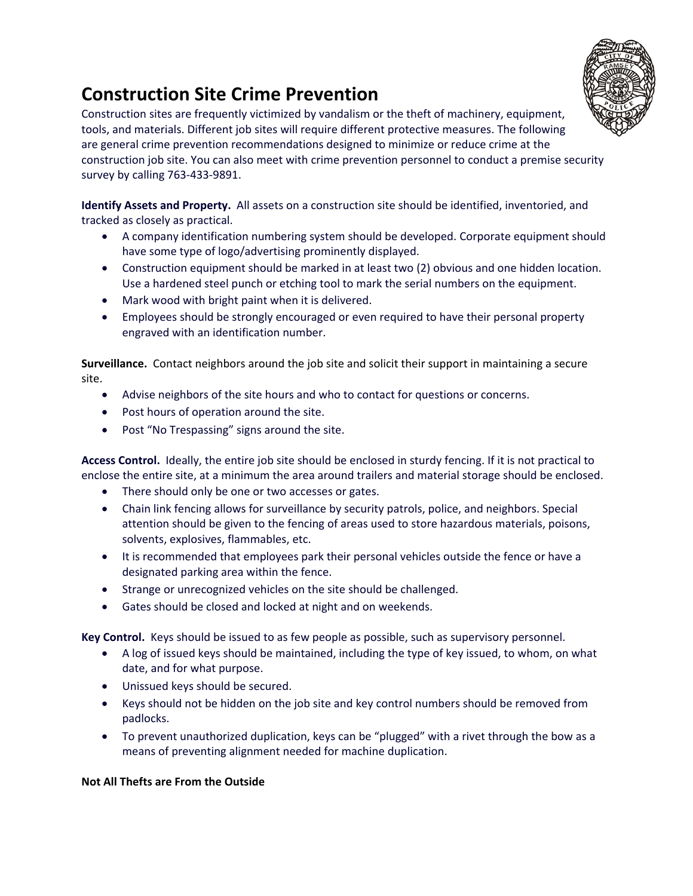

## **Construction Site Crime Prevention**

Construction sites are frequently victimized by vandalism or the theft of machinery, equipment, tools, and materials. Different job sites will require different protective measures. The following are general crime prevention recommendations designed to minimize or reduce crime at the construction job site. You can also meet with crime prevention personnel to conduct a premise security survey by calling 763‐433‐9891.

**Identify Assets and Property.** All assets on a construction site should be identified, inventoried, and tracked as closely as practical.

- A company identification numbering system should be developed. Corporate equipment should have some type of logo/advertising prominently displayed.
- Construction equipment should be marked in at least two (2) obvious and one hidden location. Use a hardened steel punch or etching tool to mark the serial numbers on the equipment.
- Mark wood with bright paint when it is delivered.
- Employees should be strongly encouraged or even required to have their personal property engraved with an identification number.

**Surveillance.** Contact neighbors around the job site and solicit their support in maintaining a secure site.

- Advise neighbors of the site hours and who to contact for questions or concerns.
- Post hours of operation around the site.
- Post "No Trespassing" signs around the site.

**Access Control.** Ideally, the entire job site should be enclosed in sturdy fencing. If it is not practical to enclose the entire site, at a minimum the area around trailers and material storage should be enclosed.

- There should only be one or two accesses or gates.
- Chain link fencing allows for surveillance by security patrols, police, and neighbors. Special attention should be given to the fencing of areas used to store hazardous materials, poisons, solvents, explosives, flammables, etc.
- It is recommended that employees park their personal vehicles outside the fence or have a designated parking area within the fence.
- Strange or unrecognized vehicles on the site should be challenged.
- Gates should be closed and locked at night and on weekends.

**Key Control.** Keys should be issued to as few people as possible, such as supervisory personnel.

- A log of issued keys should be maintained, including the type of key issued, to whom, on what date, and for what purpose.
- Unissued keys should be secured.
- Keys should not be hidden on the job site and key control numbers should be removed from padlocks.
- To prevent unauthorized duplication, keys can be "plugged" with a rivet through the bow as a means of preventing alignment needed for machine duplication.

## **Not All Thefts are From the Outside**